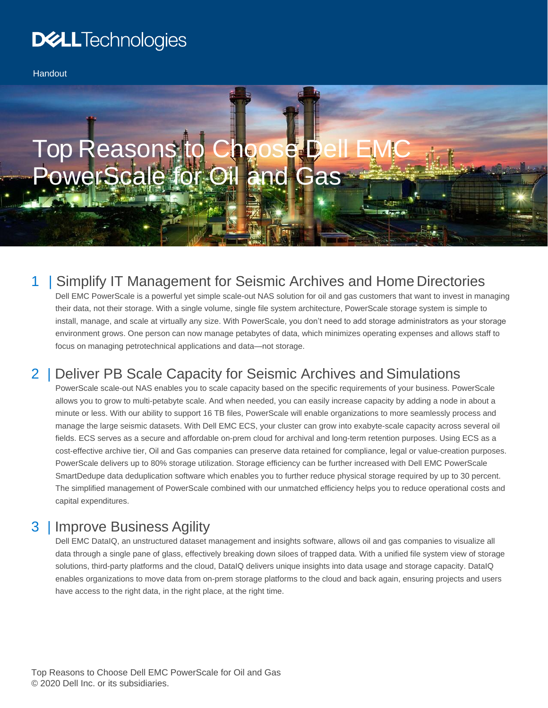# **DELL**Technologies

**Handout** 

# Top Reasons to Choose PowerScale for Oil and Gas

#### 1 | Simplify IT Management for Seismic Archives and Home Directories

Dell EMC PowerScale is a powerful yet simple scale-out NAS solution for oil and gas customers that want to invest in managing their data, not their storage. With a single volume, single file system architecture, PowerScale storage system is simple to install, manage, and scale at virtually any size. With PowerScale, you don't need to add storage administrators as your storage environment grows. One person can now manage petabytes of data, which minimizes operating expenses and allows staff to focus on managing petrotechnical applications and data—not storage.

#### 2 | Deliver PB Scale Capacity for Seismic Archives and Simulations

PowerScale scale-out NAS enables you to scale capacity based on the specific requirements of your business. PowerScale allows you to grow to multi-petabyte scale. And when needed, you can easily increase capacity by adding a node in about a minute or less. With our ability to support 16 TB files, PowerScale will enable organizations to more seamlessly process and manage the large seismic datasets. With Dell EMC ECS, your cluster can grow into exabyte-scale capacity across several oil fields. ECS serves as a secure and affordable on-prem cloud for archival and long-term retention purposes. Using ECS as a cost-effective archive tier, Oil and Gas companies can preserve data retained for compliance, legal or value-creation purposes. PowerScale delivers up to 80% storage utilization. Storage efficiency can be further increased with Dell EMC PowerScale SmartDedupe data deduplication software which enables you to further reduce physical storage required by up to 30 percent. The simplified management of PowerScale combined with our unmatched efficiency helps you to reduce operational costs and capital expenditures.

#### 3 | Improve Business Agility

Dell EMC DataIQ, an unstructured dataset management and insights software, allows oil and gas companies to visualize all data through a single pane of glass, effectively breaking down siloes of trapped data. With a unified file system view of storage solutions, third-party platforms and the cloud, DataIQ delivers unique insights into data usage and storage capacity. DataIQ enables organizations to move data from on-prem storage platforms to the cloud and back again, ensuring projects and users have access to the right data, in the right place, at the right time.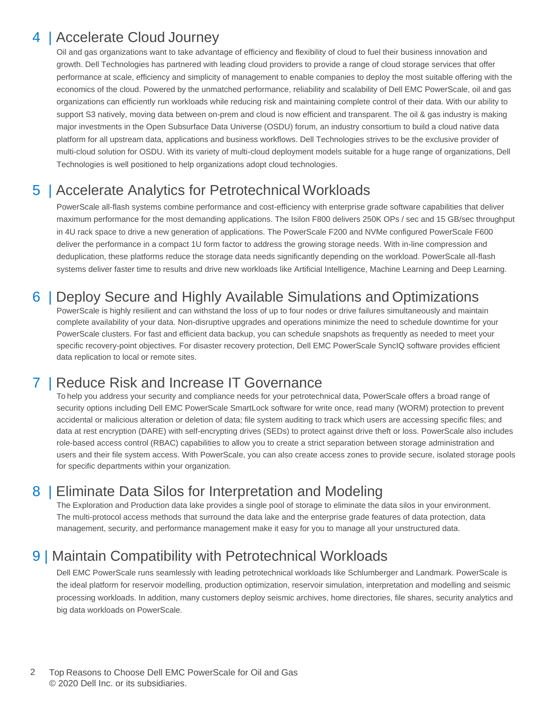#### 4 | Accelerate Cloud Journey

Oil and gas organizations want to take advantage of efficiency and flexibility of cloud to fuel their business innovation and growth. Dell Technologies has partnered with leading cloud providers to provide a range of cloud storage services that offer performance at scale, efficiency and simplicity of management to enable companies to deploy the most suitable offering with the economics of the cloud. Powered by the unmatched performance, reliability and scalability of Dell EMC PowerScale, oil and gas organizations can efficiently run workloads while reducing risk and maintaining complete control of their data. With our ability to support S3 natively, moving data between on-prem and cloud is now efficient and transparent. The oil & gas industry is making major investments in the Open Subsurface Data Universe (OSDU) forum, an industry consortium to build a cloud native data platform for all upstream data, applications and business workflows. Dell Technologies strives to be the exclusive provider of multi-cloud solution for OSDU. With its variety of multi-cloud deployment models suitable for a huge range of organizations, Dell Technologies is well positioned to help organizations adopt cloud technologies.

#### 5 | Accelerate Analytics for Petrotechnical Workloads

PowerScale all-flash systems combine performance and cost-efficiency with enterprise grade software capabilities that deliver maximum performance for the most demanding applications. The Isilon F800 delivers 250K OPs / sec and 15 GB/sec throughput in 4U rack space to drive a new generation of applications. The PowerScale F200 and NVMe configured PowerScale F600 deliver the performance in a compact 1U form factor to address the growing storage needs. With in-line compression and deduplication, these platforms reduce the storage data needs significantly depending on the workload. PowerScale all-flash systems deliver faster time to results and drive new workloads like Artificial Intelligence, Machine Learning and Deep Learning.

#### 6 | Deploy Secure and Highly Available Simulations and Optimizations

PowerScale is highly resilient and can withstand the loss of up to four nodes or drive failures simultaneously and maintain complete availability of your data. Non-disruptive upgrades and operations minimize the need to schedule downtime for your PowerScale clusters. For fast and efficient data backup, you can schedule snapshots as frequently as needed to meet your specific recovery-point objectives. For disaster recovery protection, Dell EMC PowerScale SyncIQ software provides efficient data replication to local or remote sites.

#### **I Reduce Risk and Increase IT Governance**

To help you address your security and compliance needs for your petrotechnical data, PowerScale offers a broad range of security options including Dell EMC PowerScale SmartLock software for write once, read many (WORM) protection to prevent accidental or malicious alteration or deletion of data; file system auditing to track which users are accessing specific files; and data at rest encryption (DARE) with self-encrypting drives (SEDs) to protect against drive theft or loss. PowerScale also includes role-based access control (RBAC) capabilities to allow you to create a strict separation between storage administration and users and their file system access. With PowerScale, you can also create access zones to provide secure, isolated storage pools for specific departments within your organization.

#### 8 | Eliminate Data Silos for Interpretation and Modeling

The Exploration and Production data lake provides a single pool of storage to eliminate the data silos in your environment. The multi-protocol access methods that surround the data lake and the enterprise grade features of data protection, data management, security, and performance management make it easy for you to manage all your unstructured data.

### 9 | Maintain Compatibility with Petrotechnical Workloads

Dell EMC PowerScale runs seamlessly with leading petrotechnical workloads like Schlumberger and Landmark. PowerScale is the ideal platform for reservoir modelling, production optimization, reservoir simulation, interpretation and modelling and seismic processing workloads. In addition, many customers deploy seismic archives, home directories, file shares, security analytics and big data workloads on PowerScale.

2 Top Reasons to Choose Dell EMC PowerScale for Oil and Gas © 2020 Dell Inc. or its subsidiaries.